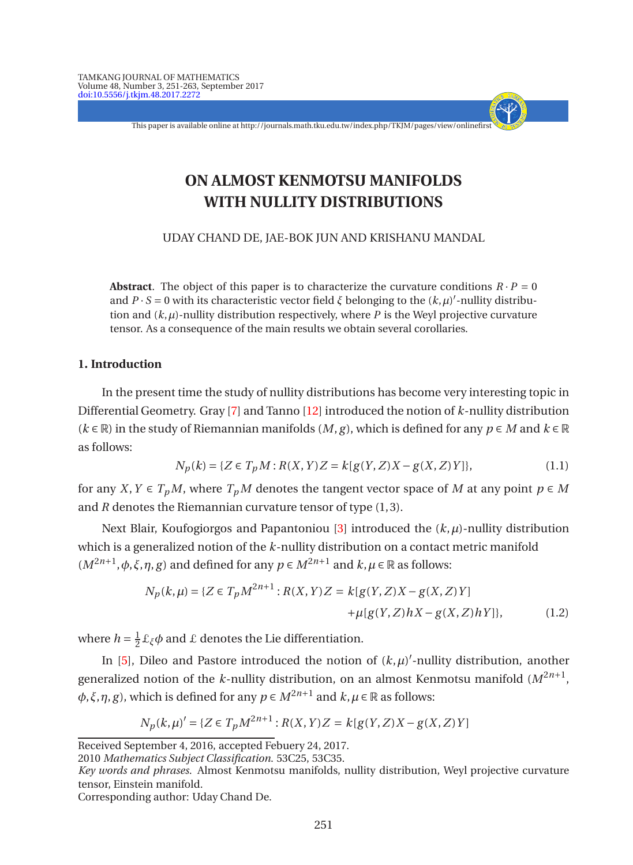This paper is available online at http://journals.math.tku.edu.tw/index.php/TKJM/pages/view/onlinefirst

- + - - - -

# **ON ALMOST KENMOTSU MANIFOLDS WITH NULLITY DISTRIBUTIONS**

UDAY CHAND DE, JAE-BOK JUN AND KRISHANU MANDAL

**Abstract**. The object of this paper is to characterize the curvature conditions  $R \cdot P = 0$ and  $P \cdot S = 0$  with its characteristic vector field *ξ* belonging to the  $(k, \mu)'$ -nullity distribution and  $(k, \mu)$ -nullity distribution respectively, where *P* is the Weyl projective curvature tensor. As a consequence of the main results we obtain several corollaries.

# **1. Introduction**

In the present time the study of nullity distributions has become very interesting topic in Differential Geometry. Gray [\[7\]](#page-11-0) and Tanno [\[12](#page-11-1)] introduced the notion of *k*-nullity distribution  $(k \in \mathbb{R})$  in the study of Riemannian manifolds  $(M, g)$ , which is defined for any  $p \in M$  and  $k \in \mathbb{R}$ as follows:

$$
N_p(k) = \{ Z \in T_p M : R(X, Y)Z = k[g(Y, Z)X - g(X, Z)Y] \},
$$
\n(1.1)

for any *X*, *Y*  $\in T_pM$ , where  $T_pM$  denotes the tangent vector space of *M* at any point  $p \in M$ and *R* denotes the Riemannian curvature tensor of type (1,3).

Next Blair, Koufogiorgos and Papantoniou [\[3\]](#page-11-2) introduced the  $(k, \mu)$ -nullity distribution which is a generalized notion of the *k*-nullity distribution on a contact metric manifold  $(M^{2n+1}, \phi, \xi, \eta, g)$  and defined for any  $p \in M^{2n+1}$  and  $k, \mu \in \mathbb{R}$  as follows:

<span id="page-0-1"></span>
$$
N_p(k,\mu) = \{ Z \in T_p M^{2n+1} : R(X,Y)Z = k[g(Y,Z)X - g(X,Z)Y] + \mu[g(Y,Z)hX - g(X,Z)hY] \},
$$
(1.2)

where  $h = \frac{1}{2} \pounds_{\xi} \phi$  and  $\pounds$  denotes the Lie differentiation.

In [\[5\]](#page-11-3), Dileo and Pastore introduced the notion of  $(k, \mu)'$ -nullity distribution, another generalized notion of the *k*-nullity distribution, on an almost Kenmotsu manifold (*M*2*n*+<sup>1</sup> , *φ*,*ξ*,*η*,*g*), which is defined for any *p* ∈ *M*<sup>2*n*+1</sup> and *k*, *μ* ∈ ℝ as follows:

<span id="page-0-0"></span>
$$
N_p(k,\mu)' = \{ Z \in T_p M^{2n+1} : R(X,Y)Z = k[g(Y,Z)X - g(X,Z)Y] \}
$$

Corresponding author: Uday Chand De.

Received September 4, 2016, accepted Febuery 24, 2017.

<sup>2010</sup> *Mathematics Subject Classification*. 53C25, 53C35.

*Key words and phrases*. Almost Kenmotsu manifolds, nullity distribution, Weyl projective curvature tensor, Einstein manifold.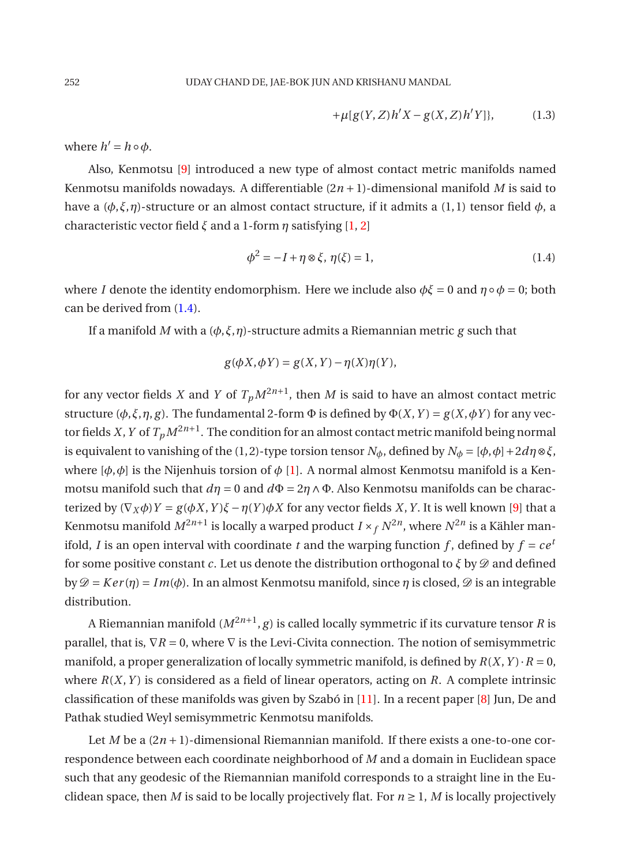<span id="page-1-0"></span>
$$
+\mu[g(Y,Z)h'X - g(X,Z)h'Y]\},\qquad (1.3)
$$

where  $h' = h \circ \phi$ .

Also, Kenmotsu [\[9](#page-11-4)] introduced a new type of almost contact metric manifolds named Kenmotsu manifolds nowadays. A differentiable  $(2n + 1)$ -dimensional manifold *M* is said to have a ( $\phi$ ,  $\xi$ ,  $\eta$ )-structure or an almost contact structure, if it admits a (1, 1) tensor field  $\phi$ , a characteristic vector field *ξ* and a 1-form *η* satisfying [\[1](#page-11-5), [2](#page-11-6)]

$$
\phi^2 = -I + \eta \otimes \xi, \ \eta(\xi) = 1,\tag{1.4}
$$

where *I* denote the identity endomorphism. Here we include also  $\phi \xi = 0$  and  $\eta \circ \phi = 0$ ; both can be derived from [\(1.4\)](#page-1-0).

If a manifold *M* with a (*φ*,*ξ*,*η*)-structure admits a Riemannian metric *g* such that

$$
g(\phi X, \phi Y) = g(X, Y) - \eta(X)\eta(Y),
$$

for any vector fields  $X$  and  $Y$  of  $T_pM^{2n+1}$ , then  $M$  is said to have an almost contact metric structure ( $\phi$ , $\xi$ , $\eta$ , $g$ ). The fundamental 2-form  $\Phi$  is defined by  $\Phi(X, Y) = g(X, \phi Y)$  for any vector fields *X*, *Y* of  $T_pM^{2n+1}$ . The condition for an almost contact metric manifold being normal is equivalent to vanishing of the (1,2)-type torsion tensor  $N_{\phi}$ , defined by  $N_{\phi} = [\phi, \phi] + 2d\eta \otimes \xi$ , where  $[\phi, \phi]$  is the Nijenhuis torsion of  $\phi$  [\[1\]](#page-11-5). A normal almost Kenmotsu manifold is a Kenmotsu manifold such that  $d\eta = 0$  and  $d\Phi = 2\eta \wedge \Phi$ . Also Kenmotsu manifolds can be characterized by  $(∇<sub>X</sub> φ)Y = g(φX, Y)ξ - η(Y)φX$  for any vector fields *X*, *Y*. It is well known [\[9\]](#page-11-4) that a Kenmotsu manifold  $M^{2n+1}$  is locally a warped product  $I\times _fN^{2n}$ , where  $N^{2n}$  is a Kähler manifold, *I* is an open interval with coordinate *t* and the warping function *f*, defined by  $f = ce^t$ for some positive constant *c*. Let us denote the distribution orthogonal to  $\zeta$  by  $\mathscr{D}$  and defined by  $\mathcal{D} = Ker(\eta) = Im(\phi)$ . In an almost Kenmotsu manifold, since  $\eta$  is closed,  $\mathcal{D}$  is an integrable distribution.

A Riemannian manifold  $(M^{2n+1},g)$  is called locally symmetric if its curvature tensor  $R$  is parallel, that is,  $\nabla R = 0$ , where  $\nabla$  is the Levi-Civita connection. The notion of semisymmetric manifold, a proper generalization of locally symmetric manifold, is defined by  $R(X, Y) \cdot R = 0$ , where *R*(*X*,*Y* ) is considered as a field of linear operators, acting on *R*. A complete intrinsic classification of these manifolds was given by Szabó in [\[11\]](#page-11-7). In a recent paper [\[8\]](#page-11-8) Jun, De and Pathak studied Weyl semisymmetric Kenmotsu manifolds.

Let *M* be a  $(2n+1)$ -dimensional Riemannian manifold. If there exists a one-to-one correspondence between each coordinate neighborhood of *M* and a domain in Euclidean space such that any geodesic of the Riemannian manifold corresponds to a straight line in the Euclidean space, then *M* is said to be locally projectively flat. For  $n \ge 1$ , *M* is locally projectively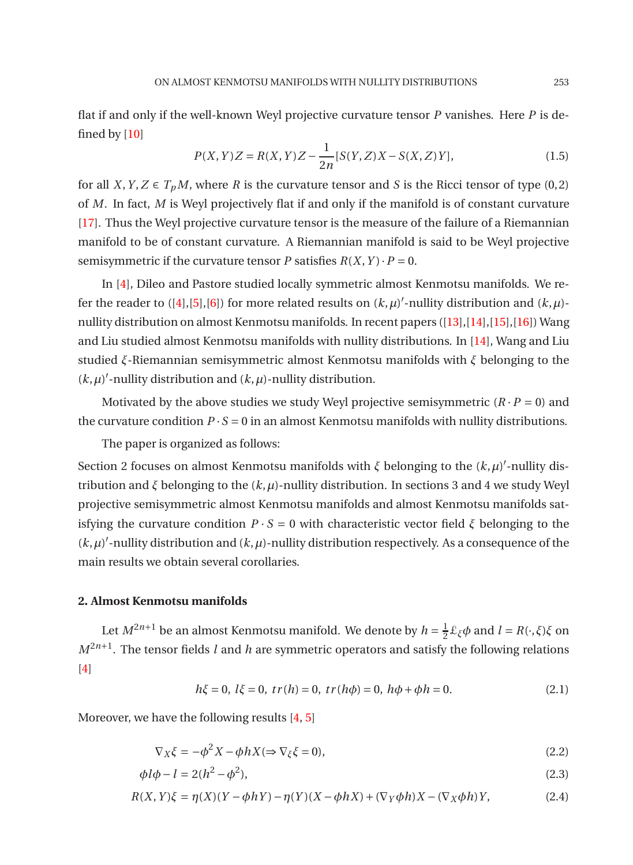flat if and only if the well-known Weyl projective curvature tensor *P* vanishes. Here *P* is defined by  $[10]$ 

<span id="page-2-0"></span>
$$
P(X, Y)Z = R(X, Y)Z - \frac{1}{2n} [S(Y, Z)X - S(X, Z)Y],
$$
\n(1.5)

for all *X*, *Y*, *Z*  $\in T_pM$ , where *R* is the curvature tensor and *S* is the Ricci tensor of type (0,2) of *M*. In fact, *M* is Weyl projectively flat if and only if the manifold is of constant curvature [\[17](#page-11-10)]. Thus the Weyl projective curvature tensor is the measure of the failure of a Riemannian manifold to be of constant curvature. A Riemannian manifold is said to be Weyl projective semisymmetric if the curvature tensor *P* satisfies  $R(X, Y) \cdot P = 0$ .

In [\[4\]](#page-11-11), Dileo and Pastore studied locally symmetric almost Kenmotsu manifolds. We refer the reader to  $([4],[5],[6])$  $([4],[5],[6])$  $([4],[5],[6])$  $([4],[5],[6])$  $([4],[5],[6])$  $([4],[5],[6])$  $([4],[5],[6])$  for more related results on  $(k,\mu)'$ -nullity distribution and  $(k,\mu)$ nullity distribution on almost Kenmotsu manifolds. In recent papers ([\[13\]](#page-11-13),[\[14\]](#page-11-14),[\[15\]](#page-11-15),[\[16\]](#page-11-16)) Wang and Liu studied almost Kenmotsu manifolds with nullity distributions. In [\[14](#page-11-14)], Wang and Liu studied *ξ*-Riemannian semisymmetric almost Kenmotsu manifolds with *ξ* belonging to the  $(k, \mu)'$ -nullity distribution and  $(k, \mu)$ -nullity distribution.

Motivated by the above studies we study Weyl projective semisymmetric  $(R \cdot P = 0)$  and the curvature condition  $P \cdot S = 0$  in an almost Kenmotsu manifolds with nullity distributions.

The paper is organized as follows:

Section 2 focuses on almost Kenmotsu manifolds with  $\xi$  belonging to the  $(k, \mu)'$ -nullity distribution and *ξ* belonging to the (*k*,*µ*)-nullity distribution. In sections 3 and 4 we study Weyl projective semisymmetric almost Kenmotsu manifolds and almost Kenmotsu manifolds satisfying the curvature condition  $P \cdot S = 0$  with characteristic vector field  $\zeta$  belonging to the  $(k, \mu)'$ -nullity distribution and  $(k, \mu)$ -nullity distribution respectively. As a consequence of the main results we obtain several corollaries.

### **2. Almost Kenmotsu manifolds**

Let  $M^{2n+1}$  be an almost Kenmotsu manifold. We denote by  $h = \frac{1}{2} \pounds_{\xi} \phi$  and  $l = R(\cdot, \xi) \xi$  on  $M^{2n+1}$ . The tensor fields *l* and *h* are symmetric operators and satisfy the following relations [\[4](#page-11-11)]

$$
h\xi = 0, l\xi = 0, tr(h) = 0, tr(h\phi) = 0, h\phi + \phi h = 0.
$$
 (2.1)

Moreover, we have the following results [\[4](#page-11-11), [5](#page-11-3)]

$$
\nabla_X \xi = -\phi^2 X - \phi h X (\Rightarrow \nabla_\xi \xi = 0),\tag{2.2}
$$

$$
\phi l \phi - l = 2(h^2 - \phi^2),\tag{2.3}
$$

$$
R(X,Y)\xi = \eta(X)(Y - \phi hY) - \eta(Y)(X - \phi hX) + (\nabla_Y \phi h)X - (\nabla_X \phi h)Y,\tag{2.4}
$$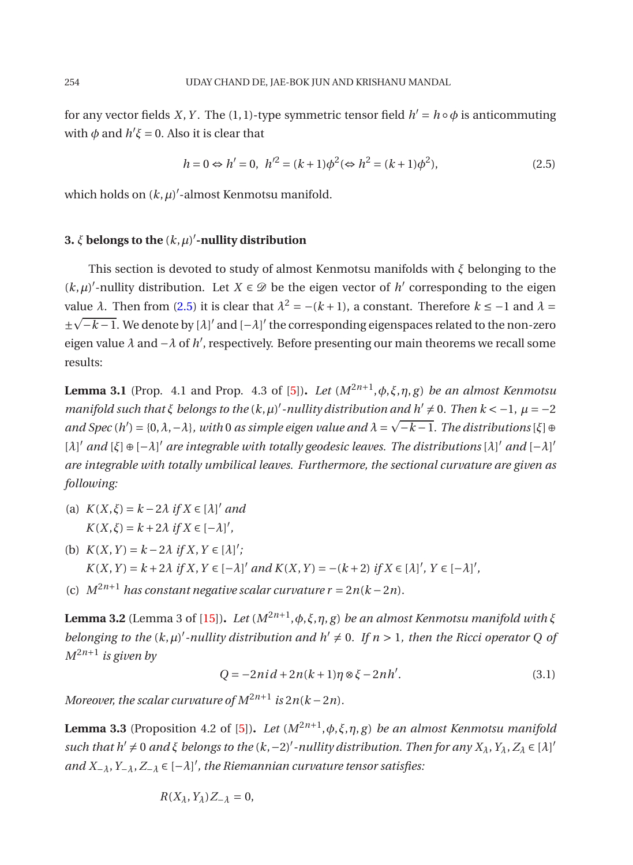for any vector fields *X*, *Y* . The (1,1)-type symmetric tensor field  $h' = h \circ \phi$  is anticommuting with  $\phi$  and  $h' \xi = 0$ . Also it is clear that

<span id="page-3-0"></span>
$$
h = 0 \Leftrightarrow h' = 0, \ \ h'^2 = (k+1)\phi^2 (\Leftrightarrow h^2 = (k+1)\phi^2), \tag{2.5}
$$

which holds on  $(k,\mu)'$ -almost Kenmotsu manifold.

### **3.** *ξ* **belongs to the** (*k*,*µ*) ′ **-nullity distribution**

This section is devoted to study of almost Kenmotsu manifolds with *ξ* belonging to the  $(k, \mu)'$ -nullity distribution. Let  $X \in \mathcal{D}$  be the eigen vector of  $h'$  corresponding to the eigen value  $λ$ . Then from [\(2.5\)](#page-3-0) it is clear that  $λ<sup>2</sup> = -(k+1)$ , a constant. Therefore  $k ≤ -1$  and  $λ =$ ±  $\sqrt{-k-1}$ . We denote by  $\lbrack \lambda \rbrack'$  and  $\lbrack -\lambda \rbrack'$  the corresponding eigenspaces related to the non-zero eigen value *λ* and −*λ* of *h* ′ , respectively. Before presenting our main theorems we recall some results:

<span id="page-3-3"></span>**Lemma 3.1** (Prop. 4.1 and Prop. 4.3 of [\[5](#page-11-3)])**.** *Let* (*M*2*n*+<sup>1</sup> ,*φ*,*ξ*,*η*, *g*) *be an almost Kenmotsu manifold such that*  $\xi$  *belongs to the* ( $k, \mu$ )' -nullity distribution and  $h' \neq 0$ . Then  $k < -1$ ,  $\mu = -2$  $and Spec(h') = \{0, \lambda, -\lambda\}, with 0 as simple eigen value and  $\lambda = \sqrt{-k-1}$ . The distributions  $\lfloor \xi \rfloor \oplus$$ [*λ*] ′ *and* [*ξ*] ⊕[−*λ*] ′ *are integrable with totally geodesic leaves. The distributions* [*λ*] ′ *and* [−*λ*] ′ *are integrable with totally umbilical leaves. Furthermore, the sectional curvature are given as following:*

- (a)  $K(X,\xi) = k 2\lambda$  *if*  $X \in [\lambda]'$  *and*  $K(X,\xi) = k + 2\lambda \text{ if } X \in [-\lambda]'$
- (b)  $K(X, Y) = k 2\lambda \text{ if } X, Y \in [\lambda]'$ ; *K*(*X*, *Y*) = *k* + 2*λ if X*, *Y* ∈ [−*λ*]<sup>'</sup> and *K*(*X*, *Y*) = −(*k* + 2) *if X* ∈ [*λ*]', *Y* ∈ [−*λ*]',
- <span id="page-3-1"></span>(c)  $M^{2n+1}$  *has constant negative scalar curvature r* = 2*n*( $k - 2n$ ).

**Lemma 3.2** (Lemma 3 of [\[15](#page-11-15)])**.** *Let* (*M*2*n*+<sup>1</sup> ,*φ*,*ξ*,*η*, *g*) *be an almost Kenmotsu manifold with ξ belonging to the*  $(k, \mu)'$ -nullity distribution and  $h' \neq 0$ . If  $n > 1$ , then the Ricci operator Q of *M*2*n*+<sup>1</sup> *is given by*

$$
Q = -2ni\, + 2n(k+1)\eta \otimes \xi - 2nh'.
$$
 (3.1)

<span id="page-3-2"></span>*Moreover, the scalar curvature of*  $M^{2n+1}$  *is*  $2n(k-2n)$ *.* 

**Lemma 3.3** (Proposition 4.2 of [\[5\]](#page-11-3)). *Let*  $(M^{2n+1}, \phi, \xi, \eta, g)$  *be an almost Kenmotsu manifold*  $such$  that  $h' \neq 0$  and  $\xi$  belongs to the  $(k, -2)'$  -nullity distribution. Then for any  $X_\lambda, Y_\lambda, Z_\lambda \in [\lambda]'$ *and X*−*λ*,*Y*−*λ*,*Z*−*<sup>λ</sup>* ∈ [−*λ*] ′ *, the Riemannian curvature tensor satisfies:*

$$
R(X_{\lambda}, Y_{\lambda})Z_{-\lambda} = 0,
$$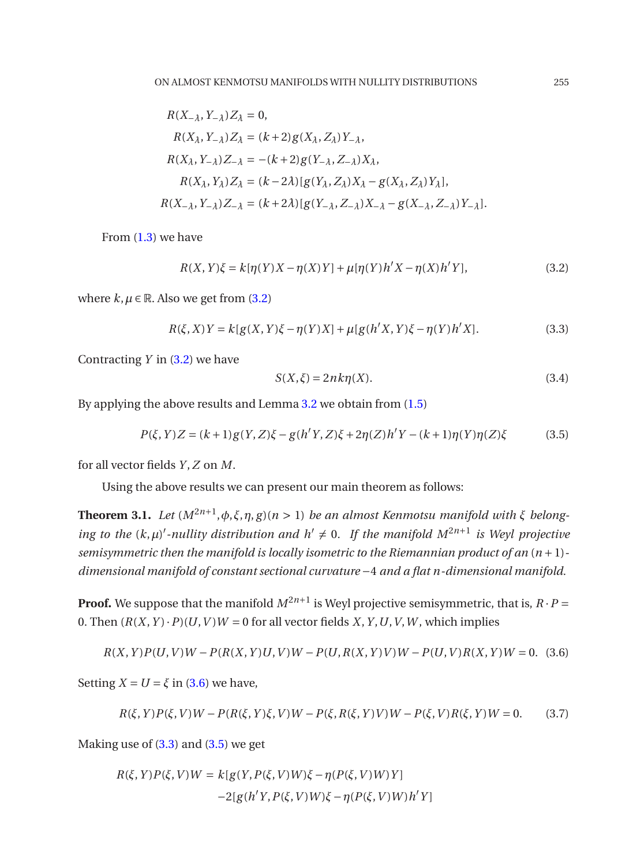$$
R(X_{-\lambda}, Y_{-\lambda})Z_{\lambda} = 0,
$$
  
\n
$$
R(X_{\lambda}, Y_{-\lambda})Z_{\lambda} = (k+2)g(X_{\lambda}, Z_{\lambda})Y_{-\lambda},
$$
  
\n
$$
R(X_{\lambda}, Y_{-\lambda})Z_{-\lambda} = -(k+2)g(Y_{-\lambda}, Z_{-\lambda})X_{\lambda},
$$
  
\n
$$
R(X_{\lambda}, Y_{\lambda})Z_{\lambda} = (k-2\lambda)[g(Y_{\lambda}, Z_{\lambda})X_{\lambda} - g(X_{\lambda}, Z_{\lambda})Y_{\lambda}],
$$
  
\n
$$
R(X_{-\lambda}, Y_{-\lambda})Z_{-\lambda} = (k+2\lambda)[g(Y_{-\lambda}, Z_{-\lambda})X_{-\lambda} - g(X_{-\lambda}, Z_{-\lambda})Y_{-\lambda}].
$$

From  $(1.3)$  we have

<span id="page-4-0"></span>
$$
R(X,Y)\xi = k[\eta(Y)X - \eta(X)Y] + \mu[\eta(Y)h'X - \eta(X)h'Y],
$$
\n(3.2)

where  $k, \mu \in \mathbb{R}$ . Also we get from [\(3.2\)](#page-4-0)

$$
R(\xi, X)Y = k[g(X, Y)\xi - \eta(Y)X] + \mu[g(h'X, Y)\xi - \eta(Y)h'X].
$$
\n(3.3)

Contracting *Y* in [\(3.2\)](#page-4-0) we have

<span id="page-4-6"></span><span id="page-4-3"></span><span id="page-4-2"></span>
$$
S(X,\xi) = 2nk\eta(X). \tag{3.4}
$$

By applying the above results and Lemma [3.2](#page-3-1) we obtain from [\(1.5\)](#page-2-0)

$$
P(\xi, Y)Z = (k+1)g(Y, Z)\xi - g(h'Y, Z)\xi + 2\eta(Z)h'Y - (k+1)\eta(Y)\eta(Z)\xi
$$
 (3.5)

for all vector fields *Y* ,*Z* on *M*.

Using the above results we can present our main theorem as follows:

**Theorem 3.1.** *Let*  $(M^{2n+1}, \phi, \xi, \eta, g)$  (*n* > 1) *be an almost Kenmotsu manifold with ξ belonging to the*  $(k, \mu)'$ -*nullity distribution and*  $h' \neq 0$ . If the manifold  $M^{2n+1}$  is Weyl projective *semisymmetric then the manifold is locally isometric to the Riemannian product of an* (*n* +1) *dimensional manifold of constant sectional curvature* −4 *and a flat n-dimensional manifold.*

**Proof.** We suppose that the manifold  $M^{2n+1}$  is Weyl projective semisymmetric, that is,  $R \cdot P =$ 0. Then  $(R(X, Y) \cdot P)(U, V)W = 0$  for all vector fields *X*, *Y*, *U*, *V*, *W*, which implies

<span id="page-4-1"></span>
$$
R(X,Y)P(U,V)W - P(R(X,Y)U,V)W - P(U,R(X,Y)V)W - P(U,V)R(X,Y)W = 0.
$$
 (3.6)

Setting  $X = U = \xi$  in [\(3.6\)](#page-4-1) we have,

<span id="page-4-5"></span>
$$
R(\xi, Y)P(\xi, V)W - P(R(\xi, Y)\xi, V)W - P(\xi, R(\xi, Y)V)W - P(\xi, V)R(\xi, Y)W = 0.
$$
 (3.7)

Making use of  $(3.3)$  and  $(3.5)$  we get

<span id="page-4-4"></span>
$$
R(\xi, Y)P(\xi, V)W = k[g(Y, P(\xi, V)W)\xi - \eta(P(\xi, V)W)Y]
$$
  
-2[g(h'Y, P(\xi, V)W)\xi - \eta(P(\xi, V)W)h'Y]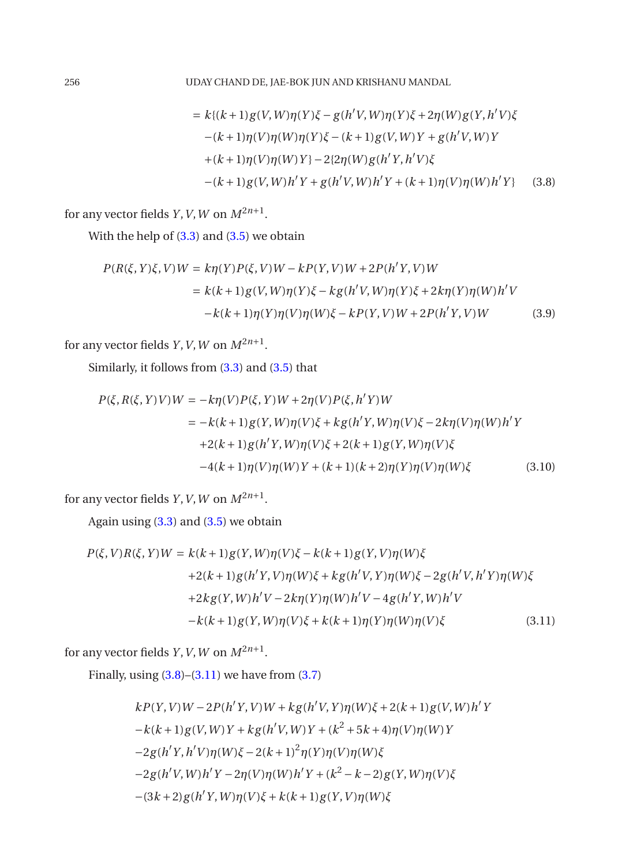$$
= k\{(k+1)g(V,W)\eta(Y)\xi - g(h'V,W)\eta(Y)\xi + 2\eta(W)g(Y,h'V)\xi
$$
  
-(k+1)\eta(V)\eta(W)\eta(Y)\xi - (k+1)g(V,W)Y + g(h'V,W)Y  
+(k+1)\eta(V)\eta(W)Y\} - 2\{2\eta(W)g(h'Y,h'V)\xi  
-(k+1)g(V,W)h'Y + g(h'V,W)h'Y + (k+1)\eta(V)\eta(W)h'Y\} (3.8)

for any vector fields *Y*, *V*, *W* on  $M^{2n+1}$ .

With the help of [\(3.3\)](#page-4-2) and [\(3.5\)](#page-4-3) we obtain

$$
P(R(\xi, Y)\xi, V)W = k\eta(Y)P(\xi, V)W - kP(Y, V)W + 2P(h'Y, V)W
$$
  
=  $k(k+1)g(V, W)\eta(Y)\xi - kg(h'V, W)\eta(Y)\xi + 2k\eta(Y)\eta(W)h'V$   
 $-k(k+1)\eta(Y)\eta(V)\eta(W)\xi - kP(Y, V)W + 2P(h'Y, V)W$  (3.9)

for any vector fields *Y*, *V*, *W* on  $M^{2n+1}$ .

Similarly, it follows from [\(3.3\)](#page-4-2) and [\(3.5\)](#page-4-3) that

$$
P(\xi, R(\xi, Y)V)W = -k\eta(V)P(\xi, Y)W + 2\eta(V)P(\xi, h'Y)W
$$
  
=  $-k(k+1)g(Y, W)\eta(V)\xi + k g(h'Y, W)\eta(V)\xi - 2k\eta(V)\eta(W)h'Y$   
+ $2(k+1)g(h'Y, W)\eta(V)\xi + 2(k+1)g(Y, W)\eta(V)\xi$   
- $4(k+1)\eta(V)\eta(W)Y + (k+1)(k+2)\eta(Y)\eta(V)\eta(W)\xi$  (3.10)

for any vector fields *Y*, *V*, *W* on  $M^{2n+1}$ .

Again using  $(3.3)$  and  $(3.5)$  we obtain

<span id="page-5-0"></span>
$$
P(\xi, V)R(\xi, Y)W = k(k+1)g(Y, W)\eta(V)\xi - k(k+1)g(Y, V)\eta(W)\xi
$$
  
+2(k+1)g(h'Y, V)\eta(W)\xi + kg(h'V, Y)\eta(W)\xi - 2g(h'V, h'Y)\eta(W)\xi  
+2kg(Y, W)h'V - 2k\eta(Y)\eta(W)h'V - 4g(h'Y, W)h'V  
-k(k+1)g(Y, W)\eta(V)\xi + k(k+1)\eta(Y)\eta(W)\eta(V)\xi (3.11)

for any vector fields *Y*, *V*, *W* on  $M^{2n+1}$ .

Finally, using  $(3.8)$ – $(3.11)$  we have from  $(3.7)$ 

<span id="page-5-1"></span>
$$
kP(Y, V)W - 2P(h'Y, V)W + kg(h'V, Y)\eta(W)\xi + 2(k+1)g(V, W)h'Y
$$
  
\n
$$
-k(k+1)g(V, W)Y + kg(h'V, W)Y + (k^2 + 5k + 4)\eta(V)\eta(W)Y
$$
  
\n
$$
-2g(h'Y, h'V)\eta(W)\xi - 2(k+1)^2\eta(Y)\eta(V)\eta(W)\xi
$$
  
\n
$$
-2g(h'V, W)h'Y - 2\eta(V)\eta(W)h'Y + (k^2 - k - 2)g(Y, W)\eta(V)\xi
$$
  
\n
$$
-(3k+2)g(h'Y, W)\eta(V)\xi + k(k+1)g(Y, V)\eta(W)\xi
$$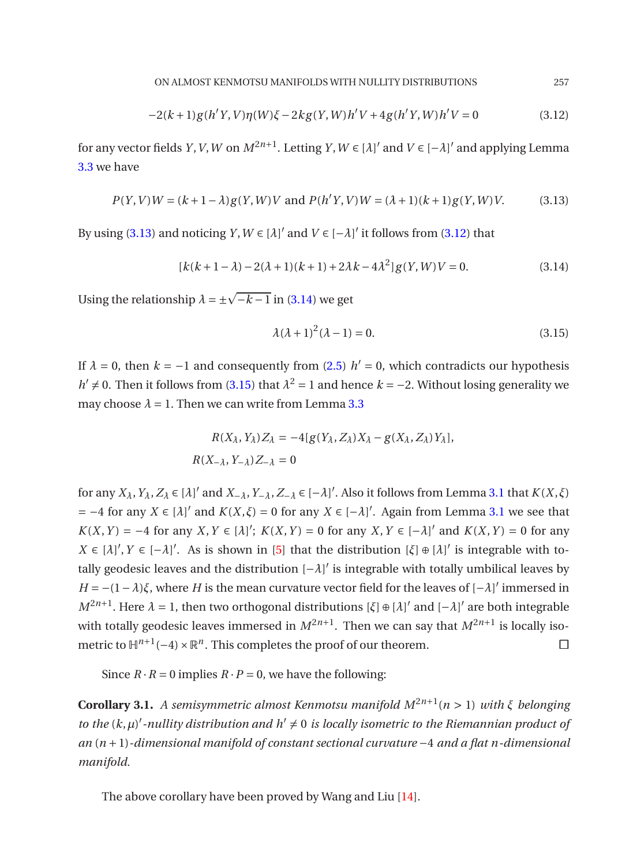<span id="page-6-0"></span>
$$
-2(k+1)g(h'Y,V)\eta(W)\xi - 2kg(Y,W)h'V + 4g(h'Y,W)h'V = 0
$$
\n(3.12)

for any vector fields *Y*, *V*, *W* on  $M^{2n+1}$ . Letting *Y*,  $W \in [\lambda]'$  and  $V \in [-\lambda]'$  and applying Lemma [3.3](#page-3-2) we have

$$
P(Y, V)W = (k+1-\lambda)g(Y, W)V \text{ and } P(h'Y, V)W = (\lambda+1)(k+1)g(Y, W)V. \tag{3.13}
$$

By using [\(3.13\)](#page-6-0) and noticing *Y*,  $W \in [\lambda]'$  and  $V \in [-\lambda]'$  it follows from [\(3.12\)](#page-5-1) that

$$
[k(k+1-\lambda)-2(\lambda+1)(k+1)+2\lambda k-4\lambda^2]g(Y,W)V=0.
$$
\n(3.14)

Using the relationship  $\lambda = \pm \sqrt{-k-1}$  in [\(3.14\)](#page-6-1) we get

<span id="page-6-2"></span><span id="page-6-1"></span>
$$
\lambda(\lambda + 1)^2(\lambda - 1) = 0.
$$
\n(3.15)

If  $\lambda = 0$ , then  $k = -1$  and consequently from [\(2.5\)](#page-3-0)  $h' = 0$ , which contradicts our hypothesis *h*<sup> $\prime$ </sup> ≠ 0. Then it follows from [\(3.15\)](#page-6-2) that  $\lambda$ <sup>2</sup> = 1 and hence *k* = −2. Without losing generality we may choose  $\lambda = 1$ . Then we can write from Lemma [3.3](#page-3-2)

$$
R(X_{\lambda}, Y_{\lambda})Z_{\lambda} = -4[g(Y_{\lambda}, Z_{\lambda})X_{\lambda} - g(X_{\lambda}, Z_{\lambda})Y_{\lambda}],
$$
  

$$
R(X_{-\lambda}, Y_{-\lambda})Z_{-\lambda} = 0
$$

for any  $X_{\lambda}$ ,  $Y_{\lambda}$ ,  $Z_{\lambda} \in [\lambda]'$  and  $X_{-\lambda}$ ,  $Y_{-\lambda}$ ,  $Z_{-\lambda} \in [-\lambda]'$ . Also it follows from Lemma [3.1](#page-3-3) that  $K(X,\xi)$  $=$  −4 for any *X* ∈ [ $\lambda$ ]' and *K*(*X*,*ξ*) = 0 for any *X* ∈ [− $\lambda$ ]'. Again from Lemma [3.1](#page-3-3) we see that *K*(*X*, *Y*) = −4 for any *X*, *Y* ∈ [ $\lambda$ ]'; *K*(*X*, *Y*) = 0 for any *X*, *Y* ∈ [− $\lambda$ ]' and *K*(*X*, *Y*) = 0 for any *X* ∈  $[λ]$ ', *Y* ∈  $[-λ]$ '. As is shown in  $[5]$  $[5]$  that the distribution  $[ξ] ⊕ [λ]$ ' is integrable with totally geodesic leaves and the distribution [−*λ*] ′ is integrable with totally umbilical leaves by *H* = −(1−*λ*)*ξ*, where *H* is the mean curvature vector field for the leaves of [−*λ*]<sup>'</sup> immersed in *M*<sup>2*n*+1</sup>. Here *λ* = 1, then two orthogonal distributions [*ξ*] ⊕ [*λ*]<sup>'</sup> and [−*λ*]<sup>'</sup> are both integrable with totally geodesic leaves immersed in  $M^{2n+1}$ . Then we can say that  $M^{2n+1}$  is locally isometric to  $\mathbb{H}^{n+1}(-4) \times \mathbb{R}^n$ . This completes the proof of our theorem.  $□$ 

Since  $R \cdot R = 0$  implies  $R \cdot P = 0$ , we have the following:

**Corollary 3.1.** *A semisymmetric almost Kenmotsu manifold M*2*n*+<sup>1</sup> (*n* > 1) *with ξ belonging to the*  $(k, \mu)'$ -nullity distribution and  $h' \neq 0$  is locally isometric to the Riemannian product of *an* (*n* +1)*-dimensional manifold of constant sectional curvature* −4 *and a flat n-dimensional manifold.*

The above corollary have been proved by Wang and Liu [\[14](#page-11-14)].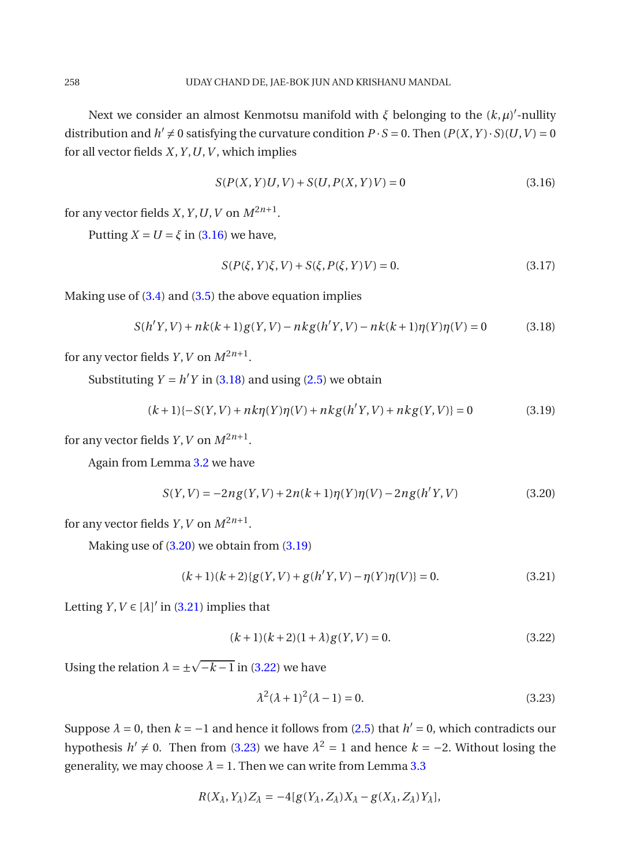Next we consider an almost Kenmotsu manifold with  $\xi$  belonging to the  $(k,\mu)'$ -nullity distribution and  $h' \neq 0$  satisfying the curvature condition  $P \cdot S = 0$ . Then  $(P(X, Y) \cdot S)(U, V) = 0$ for all vector fields *X*,*Y* ,*U*,*V* , which implies

<span id="page-7-0"></span>
$$
S(P(X, Y)U, V) + S(U, P(X, Y)V) = 0
$$
\n(3.16)

for any vector fields *X*, *Y*, *U*, *V* on  $M^{2n+1}$ .

Putting  $X = U = \xi$  in [\(3.16\)](#page-7-0) we have,

<span id="page-7-3"></span><span id="page-7-1"></span>
$$
S(P(\xi, Y)\xi, V) + S(\xi, P(\xi, Y)V) = 0.
$$
\n(3.17)

Making use of [\(3.4\)](#page-4-6) and [\(3.5\)](#page-4-3) the above equation implies

$$
S(h'Y, V) + nk(k+1)g(Y, V) - nkg(h'Y, V) - nk(k+1)\eta(Y)\eta(V) = 0
$$
\n(3.18)

for any vector fields *Y*, *V* on  $M^{2n+1}$ .

Substituting  $Y = h'Y$  in [\(3.18\)](#page-7-1) and using [\(2.5\)](#page-3-0) we obtain

$$
(k+1)\{-S(Y,V) + nk\eta(Y)\eta(V) + nkg(h'Y,V) + nkg(Y,V)\} = 0
$$
\n(3.19)

for any vector fields *Y*, *V* on  $M^{2n+1}$ .

Again from Lemma [3.2](#page-3-1) we have

<span id="page-7-2"></span>
$$
S(Y, V) = -2ng(Y, V) + 2n(k+1)\eta(Y)\eta(V) - 2ng(h'Y, V)
$$
\n(3.20)

for any vector fields *Y*, *V* on  $M^{2n+1}$ .

Making use of [\(3.20\)](#page-7-2) we obtain from [\(3.19\)](#page-7-3)

$$
(k+1)(k+2)\{g(Y,V) + g(h'Y,V) - \eta(Y)\eta(V)\} = 0.
$$
\n(3.21)

Letting  $Y, V \in [\lambda]'$  in [\(3.21\)](#page-7-4) implies that

<span id="page-7-5"></span><span id="page-7-4"></span>
$$
(k+1)(k+2)(1+\lambda)g(Y,V) = 0.
$$
\n(3.22)

Using the relation  $\lambda = \pm \sqrt{-k-1}$  in [\(3.22\)](#page-7-5) we have

<span id="page-7-6"></span>
$$
\lambda^2(\lambda + 1)^2(\lambda - 1) = 0.
$$
 (3.23)

Suppose  $\lambda = 0$ , then  $k = -1$  and hence it follows from [\(2.5\)](#page-3-0) that  $h' = 0$ , which contradicts our hypothesis  $h' \neq 0$ . Then from [\(3.23\)](#page-7-6) we have  $\lambda^2 = 1$  and hence  $k = -2$ . Without losing the generality, we may choose  $\lambda = 1$ . Then we can write from Lemma [3.3](#page-3-2)

$$
R(X_{\lambda}, Y_{\lambda})Z_{\lambda} = -4[g(Y_{\lambda}, Z_{\lambda})X_{\lambda} - g(X_{\lambda}, Z_{\lambda})Y_{\lambda}],
$$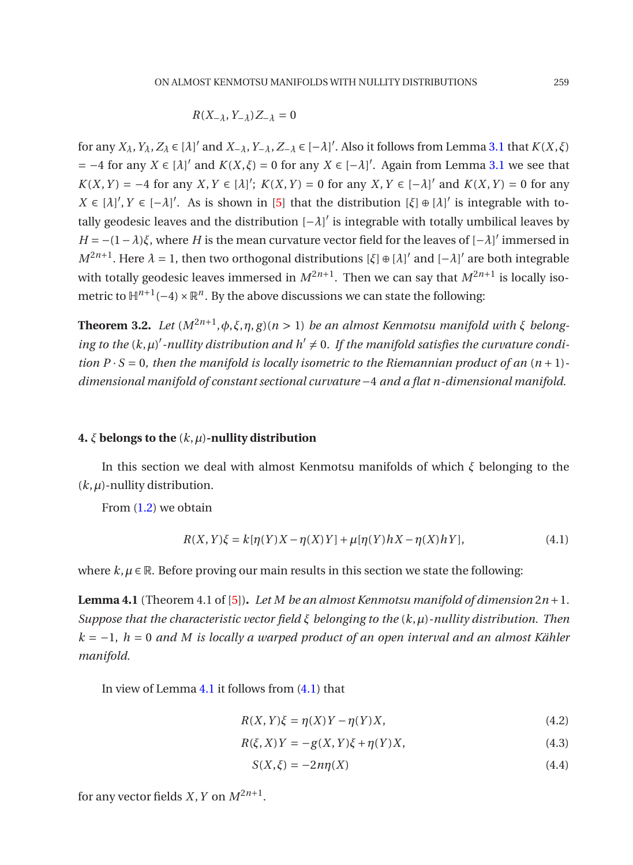$$
R(X_{-\lambda}, Y_{-\lambda})Z_{-\lambda} = 0
$$

for any  $X_\lambda$ ,  $Y_\lambda$ ,  $Z_\lambda \in [\lambda]'$  and  $X_{-\lambda}$ ,  $Y_{-\lambda}$ ,  $Z_{-\lambda} \in [-\lambda]'$ . Also it follows from Lemma [3.1](#page-3-3) that  $K(X,\xi)$  $=$  −4 for any *X* ∈ [ $\lambda$ ]' and *K*(*X*,*ξ*) = 0 for any *X* ∈ [− $\lambda$ ]'. Again from Lemma [3.1](#page-3-3) we see that *K*(*X*, *Y*) = −4 for any *X*, *Y* ∈ [*λ*]'; *K*(*X*, *Y*) = 0 for any *X*, *Y* ∈ [−*λ*]' and *K*(*X*, *Y*) = 0 for any *X* ∈ [*λ*]', *Y* ∈ [−*λ*]'. As is shown in [\[5](#page-11-3)] that the distribution [*ξ*] ⊕ [*λ*]' is integrable with totally geodesic leaves and the distribution [−*λ*] ′ is integrable with totally umbilical leaves by *H* = −(1−*λ*)*ξ*, where *H* is the mean curvature vector field for the leaves of [−*λ*] ′ immersed in *M*<sup>2*n*+1</sup>. Here *λ* = 1, then two orthogonal distributions [*ξ*] ⊕ [*λ*]<sup>'</sup> and [−*λ*]<sup>'</sup> are both integrable with totally geodesic leaves immersed in  $M^{2n+1}$ . Then we can say that  $M^{2n+1}$  is locally isometric to  $\mathbb{H}^{n+1}(-4) \times \mathbb{R}^n$ . By the above discussions we can state the following:

**Theorem 3.2.** *Let*  $(M^{2n+1}, \phi, \xi, \eta, g)$  (*n* > 1) *be an almost Kenmotsu manifold with ξ belong*- $\log$  to the  $(k,\mu)'$ -nullity distribution and h'  $\neq$  0. If the manifold satisfies the curvature condi*tion P*  $\cdot$  *S* = 0*, then the manifold is locally isometric to the Riemannian product of an*  $(n+1)$ *dimensional manifold of constant sectional curvature* −4 *and a flat n-dimensional manifold.*

#### **4.** *ξ* **belongs to the** (*k*,*µ*)**-nullity distribution**

In this section we deal with almost Kenmotsu manifolds of which *ξ* belonging to the  $(k, \mu)$ -nullity distribution.

From [\(1.2\)](#page-0-1) we obtain

<span id="page-8-1"></span>
$$
R(X,Y)\xi = k[\eta(Y)X - \eta(X)Y] + \mu[\eta(Y)hX - \eta(X)hY],
$$
\n(4.1)

<span id="page-8-0"></span>where  $k, \mu \in \mathbb{R}$ . Before proving our main results in this section we state the following:

**Lemma 4.1** (Theorem 4.1 of [\[5\]](#page-11-3)). Let M be an almost Kenmotsu manifold of dimension  $2n+1$ . *Suppose that the characteristic vector field ξ belonging to the* (*k*,*µ*)*-nullity distribution. Then k* = −1, *h* = 0 *and M is locally a warped product of an open interval and an almost Kähler manifold.*

In view of Lemma  $4.1$  it follows from  $(4.1)$  that

<span id="page-8-2"></span>
$$
R(X,Y)\xi = \eta(X)Y - \eta(Y)X,\tag{4.2}
$$

$$
R(\xi, X)Y = -g(X, Y)\xi + \eta(Y)X,
$$
\n(4.3)

$$
S(X,\xi) = -2n\eta(X) \tag{4.4}
$$

for any vector fields *X*, *Y* on  $M^{2n+1}$ .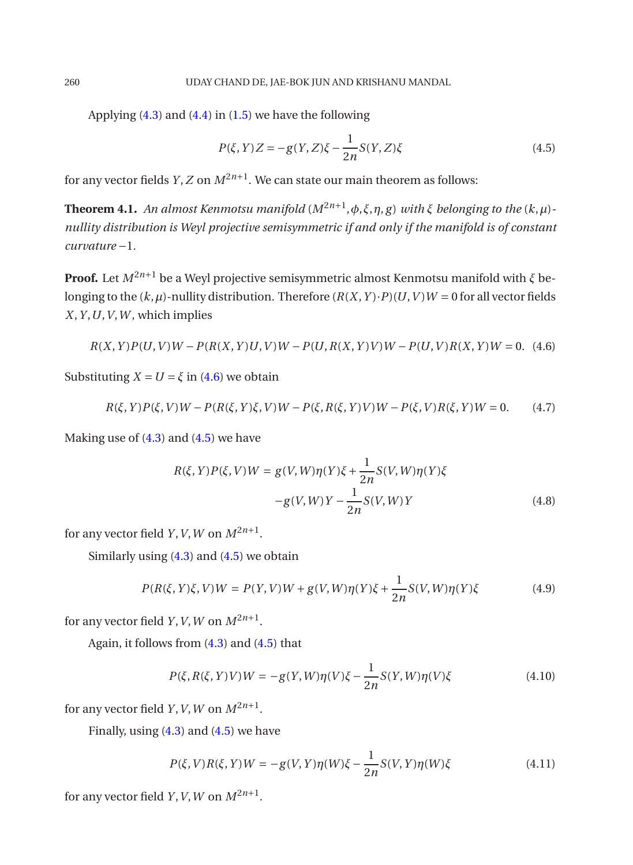Applying  $(4.3)$  and  $(4.4)$  in  $(1.5)$  we have the following

<span id="page-9-1"></span>
$$
P(\xi, Y)Z = -g(Y, Z)\xi - \frac{1}{2n}S(Y, Z)\xi
$$
\n(4.5)

for any vector fields  $Y$ ,  $Z$  on  $M^{2n+1}$ . We can state our main theorem as follows:

**Theorem 4.1.** *An almost Kenmotsu manifold* (*M*2*n*+<sup>1</sup> ,*φ*,*ξ*,*η*, *g*) *with ξ belonging to the* (*k*,*µ*) *nullity distribution is Weyl projective semisymmetric if and only if the manifold is of constant curvature* −1*.*

**Proof.** Let  $M^{2n+1}$  be a Weyl projective semisymmetric almost Kenmotsu manifold with  $\zeta$  belonging to the  $(k, \mu)$ -nullity distribution. Therefore  $(R(X, Y) \cdot P)(U, V)W = 0$  for all vector fields  $X, Y, U, V, W$ , which implies

<span id="page-9-0"></span>
$$
R(X, Y)P(U, V)W - P(R(X, Y)U, V)W - P(U, R(X, Y)V)W - P(U, V)R(X, Y)W = 0.
$$
 (4.6)

Substituting  $X = U = \xi$  in [\(4.6\)](#page-9-0) we obtain

<span id="page-9-4"></span>
$$
R(\xi, Y)P(\xi, V)W - P(R(\xi, Y)\xi, V)W - P(\xi, R(\xi, Y)V)W - P(\xi, V)R(\xi, Y)W = 0.
$$
 (4.7)

Making use of  $(4.3)$  and  $(4.5)$  we have

<span id="page-9-2"></span>
$$
R(\xi, Y)P(\xi, V)W = g(V, W)\eta(Y)\xi + \frac{1}{2n}S(V, W)\eta(Y)\xi
$$
  
-g(V, W)Y -  $\frac{1}{2n}S(V, W)Y$  (4.8)

for any vector field *Y*, *V*, *W* on  $M^{2n+1}$ .

Similarly using [\(4.3\)](#page-8-2) and [\(4.5\)](#page-9-1) we obtain

$$
P(R(\xi, Y)\xi, V)W = P(Y, V)W + g(V, W)\eta(Y)\xi + \frac{1}{2n}S(V, W)\eta(Y)\xi
$$
\n(4.9)

for any vector field *Y*, *V*, *W* on  $M^{2n+1}$ .

Again, it follows from [\(4.3\)](#page-8-2) and [\(4.5\)](#page-9-1) that

$$
P(\xi, R(\xi, Y)V)W = -g(Y, W)\eta(V)\xi - \frac{1}{2n}S(Y, W)\eta(V)\xi
$$
\n(4.10)

for any vector field *Y*, *V*, *W* on  $M^{2n+1}$ .

Finally, using  $(4.3)$  and  $(4.5)$  we have

<span id="page-9-3"></span>
$$
P(\xi, V)R(\xi, Y)W = -g(V, Y)\eta(W)\xi - \frac{1}{2n}S(V, Y)\eta(W)\xi
$$
\n(4.11)

for any vector field *Y*, *V*, *W* on  $M^{2n+1}$ .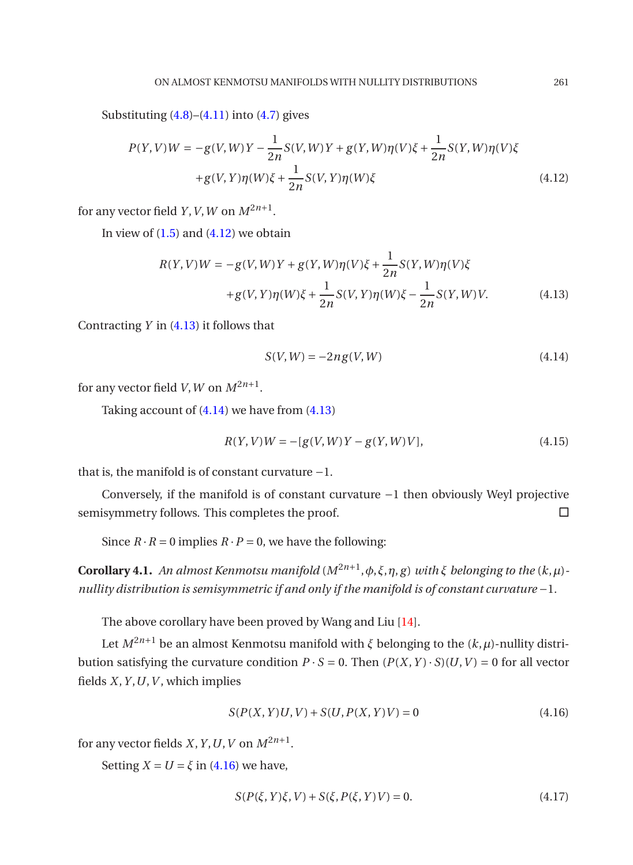Substituting  $(4.8)$ – $(4.11)$  into  $(4.7)$  gives

<span id="page-10-0"></span>
$$
P(Y, V)W = -g(V, W)Y - \frac{1}{2n}S(V, W)Y + g(Y, W)\eta(V)\xi + \frac{1}{2n}S(Y, W)\eta(V)\xi
$$
  
+g(V, Y)\eta(W)\xi + \frac{1}{2n}S(V, Y)\eta(W)\xi \t(4.12)

for any vector field *Y*, *V*, *W* on  $M^{2n+1}$ .

In view of  $(1.5)$  and  $(4.12)$  we obtain

<span id="page-10-1"></span>
$$
R(Y, V)W = -g(V, W)Y + g(Y, W)\eta(V)\xi + \frac{1}{2n}S(Y, W)\eta(V)\xi
$$
  
+g(V, Y)\eta(W)\xi + \frac{1}{2n}S(V, Y)\eta(W)\xi - \frac{1}{2n}S(Y, W)V. (4.13)

Contracting *Y* in [\(4.13\)](#page-10-1) it follows that

<span id="page-10-2"></span>
$$
S(V, W) = -2ng(V, W) \tag{4.14}
$$

for any vector field *V*, *W* on  $M^{2n+1}$ .

Taking account of [\(4.14\)](#page-10-2) we have from [\(4.13\)](#page-10-1)

$$
R(Y, V)W = -[g(V, W)Y - g(Y, W)V],
$$
\n(4.15)

that is, the manifold is of constant curvature −1.

Conversely, if the manifold is of constant curvature −1 then obviously Weyl projective semisymmetry follows. This completes the proof.  $\square$ 

Since  $R \cdot R = 0$  implies  $R \cdot P = 0$ , we have the following:

**Corollary 4.1.** An almost Kenmotsu manifold  $(M^{2n+1}, \phi, \xi, \eta, g)$  with  $\xi$  belonging to the  $(k, \mu)$ *nullity distribution is semisymmetric if and only if the manifold is of constant curvature* −1*.*

The above corollary have been proved by Wang and Liu [\[14](#page-11-14)].

Let  $M^{2n+1}$  be an almost Kenmotsu manifold with *ξ* belonging to the  $(k, \mu)$ -nullity distribution satisfying the curvature condition  $P \cdot S = 0$ . Then  $(P(X, Y) \cdot S)(U, V) = 0$  for all vector fields  $X$ ,  $Y$ ,  $U$ ,  $V$ , which implies

<span id="page-10-3"></span>
$$
S(P(X, Y)U, V) + S(U, P(X, Y)V) = 0
$$
\n(4.16)

for any vector fields *X*, *Y*, *U*, *V* on  $M^{2n+1}$ .

Setting  $X = U = \xi$  in [\(4.16\)](#page-10-3) we have,

<span id="page-10-4"></span>
$$
S(P(\xi, Y)\xi, V) + S(\xi, P(\xi, Y)V) = 0.
$$
\n(4.17)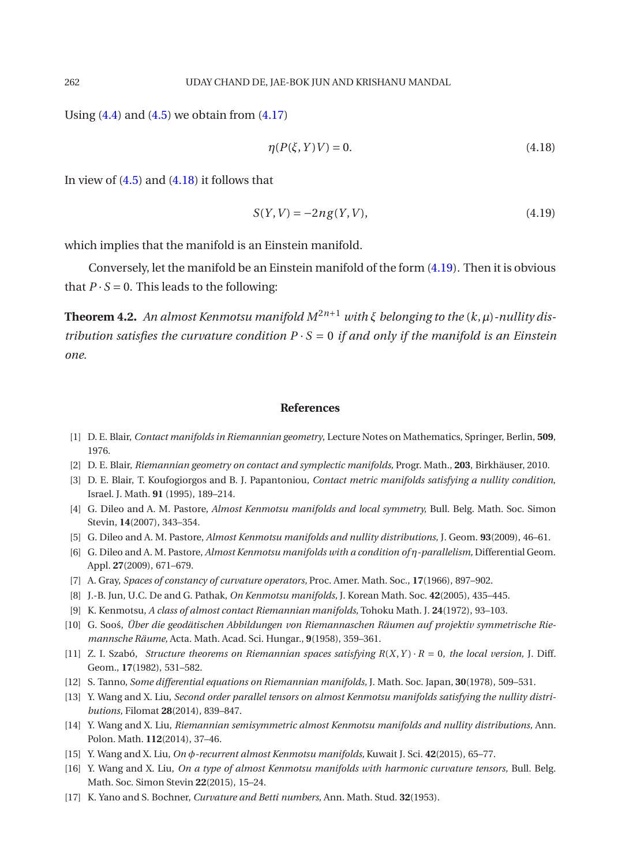Using  $(4.4)$  and  $(4.5)$  we obtain from  $(4.17)$ 

<span id="page-11-18"></span><span id="page-11-17"></span>
$$
\eta(P(\xi, Y)V) = 0.\tag{4.18}
$$

In view of  $(4.5)$  and  $(4.18)$  it follows that

$$
S(Y, V) = -2ng(Y, V),
$$
\n(4.19)

which implies that the manifold is an Einstein manifold.

Conversely, let the manifold be an Einstein manifold of the form [\(4.19\)](#page-11-18). Then it is obvious that  $P \cdot S = 0$ . This leads to the following:

**Theorem 4.2.** An almost Kenmotsu manifold  $M^{2n+1}$  with  $\xi$  belonging to the  $(k,\mu)$ -nullity dis*tribution satisfies the curvature condition*  $P \cdot S = 0$  *if and only if the manifold is an Einstein one.*

#### **References**

- <span id="page-11-5"></span>[1] D. E. Blair, *Contact manifolds in Riemannian geometry*, Lecture Notes on Mathematics, Springer, Berlin, **509**, 1976.
- <span id="page-11-6"></span>[2] D. E. Blair, *Riemannian geometry on contact and symplectic manifolds,* Progr. Math., **203**, Birkhäuser, 2010.
- <span id="page-11-2"></span>[3] D. E. Blair, T. Koufogiorgos and B. J. Papantoniou, *Contact metric manifolds satisfying a nullity condition*, Israel. J. Math. **91** (1995), 189–214.
- <span id="page-11-11"></span>[4] G. Dileo and A. M. Pastore, *Almost Kenmotsu manifolds and local symmetry,* Bull. Belg. Math. Soc. Simon Stevin, **14**(2007), 343–354.
- <span id="page-11-3"></span>[5] G. Dileo and A. M. Pastore, *Almost Kenmotsu manifolds and nullity distributions,* J. Geom. **93**(2009), 46–61.
- <span id="page-11-12"></span>[6] G. Dileo and A. M. Pastore, *Almost Kenmotsu manifolds with a condition of η-parallelism,* Differential Geom. Appl. **27**(2009), 671–679.
- <span id="page-11-0"></span>[7] A. Gray, *Spaces of constancy of curvature operators,* Proc. Amer. Math. Soc., **17**(1966), 897–902.
- <span id="page-11-8"></span>[8] J.-B. Jun, U.C. De and G. Pathak, *On Kenmotsu manifolds,* J. Korean Math. Soc. **42**(2005), 435–445.
- <span id="page-11-4"></span>[9] K. Kenmotsu, *A class of almost contact Riemannian manifolds,* Tohoku Math. J. **24**(1972), 93–103.
- <span id="page-11-9"></span>[10] G. Soo´s, *Über die geodätischen Abbildungen von Riemannaschen Räumen auf projektiv symmetrische Riemannsche Räume,* Acta. Math. Acad. Sci. Hungar., **9**(1958), 359–361.
- <span id="page-11-7"></span>[11] Z. I. Szabó, *Structure theorems on Riemannian spaces satisfying R*(*X*,*Y* ) · *R* = 0*, the local version,* J. Diff. Geom., **17**(1982), 531–582.
- <span id="page-11-1"></span>[12] S. Tanno, *Some differential equations on Riemannian manifolds,* J. Math. Soc. Japan, **30**(1978), 509–531.
- <span id="page-11-13"></span>[13] Y. Wang and X. Liu, *Second order parallel tensors on almost Kenmotsu manifolds satisfying the nullity distributions,* Filomat **28**(2014), 839–847.
- <span id="page-11-14"></span>[14] Y. Wang and X. Liu, *Riemannian semisymmetric almost Kenmotsu manifolds and nullity distributions,* Ann. Polon. Math. **112**(2014), 37–46.
- <span id="page-11-15"></span>[15] Y. Wang and X. Liu, *On φ-recurrent almost Kenmotsu manifolds,* Kuwait J. Sci. **42**(2015), 65–77.
- <span id="page-11-16"></span>[16] Y. Wang and X. Liu, *On a type of almost Kenmotsu manifolds with harmonic curvature tensors,* Bull. Belg. Math. Soc. Simon Stevin **22**(2015), 15–24.
- <span id="page-11-10"></span>[17] K. Yano and S. Bochner, *Curvature and Betti numbers,* Ann. Math. Stud. **32**(1953).